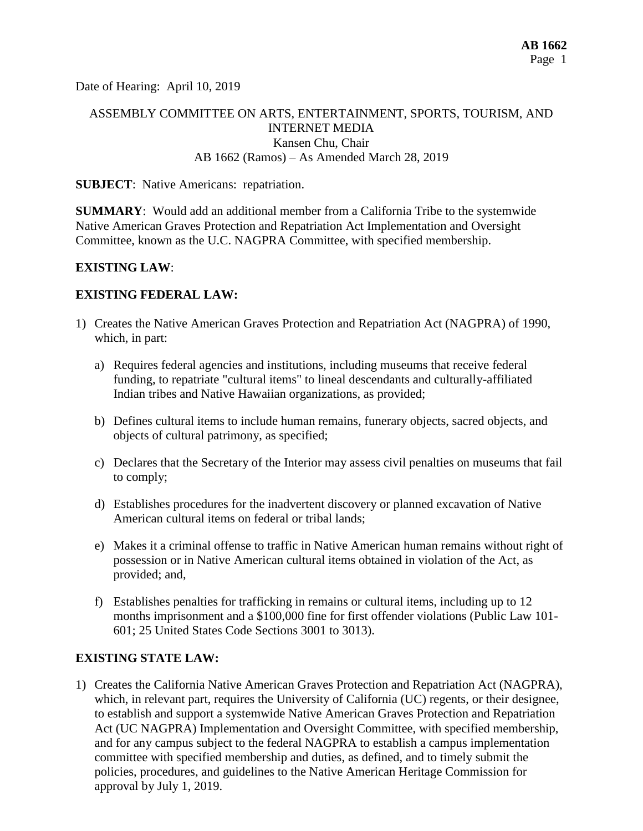Date of Hearing: April 10, 2019

# ASSEMBLY COMMITTEE ON ARTS, ENTERTAINMENT, SPORTS, TOURISM, AND INTERNET MEDIA Kansen Chu, Chair AB 1662 (Ramos) – As Amended March 28, 2019

#### **SUBJECT**: Native Americans: repatriation.

**SUMMARY**: Would add an additional member from a California Tribe to the systemwide Native American Graves Protection and Repatriation Act Implementation and Oversight Committee, known as the U.C. NAGPRA Committee, with specified membership.

#### **EXISTING LAW**:

#### **EXISTING FEDERAL LAW:**

- 1) Creates the Native American Graves Protection and Repatriation Act (NAGPRA) of 1990, which, in part:
	- a) Requires federal agencies and institutions, including museums that receive federal funding, to repatriate "cultural items" to lineal descendants and culturally-affiliated Indian tribes and Native Hawaiian organizations, as provided;
	- b) Defines cultural items to include human remains, funerary objects, sacred objects, and objects of cultural patrimony, as specified;
	- c) Declares that the Secretary of the Interior may assess civil penalties on museums that fail to comply;
	- d) Establishes procedures for the inadvertent discovery or planned excavation of Native American cultural items on federal or tribal lands;
	- e) Makes it a criminal offense to traffic in Native American human remains without right of possession or in Native American cultural items obtained in violation of the Act, as provided; and,
	- f) Establishes penalties for trafficking in remains or cultural items, including up to 12 months imprisonment and a \$100,000 fine for first offender violations (Public Law 101- 601; 25 United States Code Sections 3001 to 3013).

### **EXISTING STATE LAW:**

1) Creates the California Native American Graves Protection and Repatriation Act (NAGPRA), which, in relevant part, requires the University of California (UC) regents, or their designee, to establish and support a systemwide Native American Graves Protection and Repatriation Act (UC NAGPRA) Implementation and Oversight Committee, with specified membership, and for any campus subject to the federal NAGPRA to establish a campus implementation committee with specified membership and duties, as defined, and to timely submit the policies, procedures, and guidelines to the Native American Heritage Commission for approval by July 1, 2019.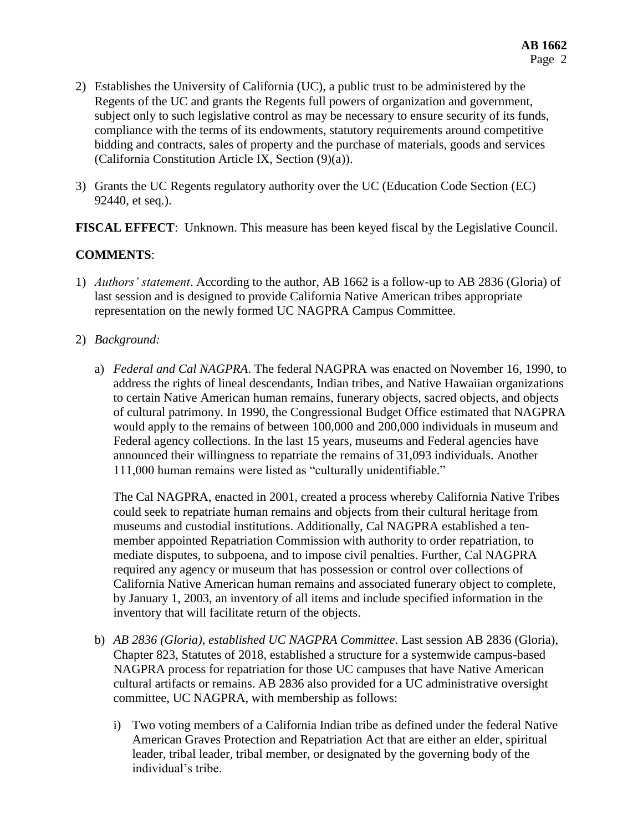- 2) Establishes the University of California (UC), a public trust to be administered by the Regents of the UC and grants the Regents full powers of organization and government, subject only to such legislative control as may be necessary to ensure security of its funds, compliance with the terms of its endowments, statutory requirements around competitive bidding and contracts, sales of property and the purchase of materials, goods and services (California Constitution Article IX, Section (9)(a)).
- 3) Grants the UC Regents regulatory authority over the UC (Education Code Section (EC) 92440, et seq.).

**FISCAL EFFECT**: Unknown. This measure has been keyed fiscal by the Legislative Council.

# **COMMENTS**:

- 1) *Authors' statement*. According to the author, AB 1662 is a follow-up to AB 2836 (Gloria) of last session and is designed to provide California Native American tribes appropriate representation on the newly formed UC NAGPRA Campus Committee.
- 2) *Background:* 
	- a) *Federal and Cal NAGPRA*. The federal NAGPRA was enacted on November 16, 1990, to address the rights of lineal descendants, Indian tribes, and Native Hawaiian organizations to certain Native American human remains, funerary objects, sacred objects, and objects of cultural patrimony. In 1990, the Congressional Budget Office estimated that NAGPRA would apply to the remains of between 100,000 and 200,000 individuals in museum and Federal agency collections. In the last 15 years, museums and Federal agencies have announced their willingness to repatriate the remains of 31,093 individuals. Another 111,000 human remains were listed as "culturally unidentifiable."

The Cal NAGPRA, enacted in 2001, created a process whereby California Native Tribes could seek to repatriate human remains and objects from their cultural heritage from museums and custodial institutions. Additionally, Cal NAGPRA established a tenmember appointed Repatriation Commission with authority to order repatriation, to mediate disputes, to subpoena, and to impose civil penalties. Further, Cal NAGPRA required any agency or museum that has possession or control over collections of California Native American human remains and associated funerary object to complete, by January 1, 2003, an inventory of all items and include specified information in the inventory that will facilitate return of the objects.

- b) *AB 2836 (Gloria), established UC NAGPRA Committee*. Last session AB 2836 (Gloria), Chapter 823, Statutes of 2018, established a structure for a systemwide campus-based NAGPRA process for repatriation for those UC campuses that have Native American cultural artifacts or remains. AB 2836 also provided for a UC administrative oversight committee, UC NAGPRA, with membership as follows:
	- i) Two voting members of a California Indian tribe as defined under the federal Native American Graves Protection and Repatriation Act that are either an elder, spiritual leader, tribal leader, tribal member, or designated by the governing body of the individual's tribe.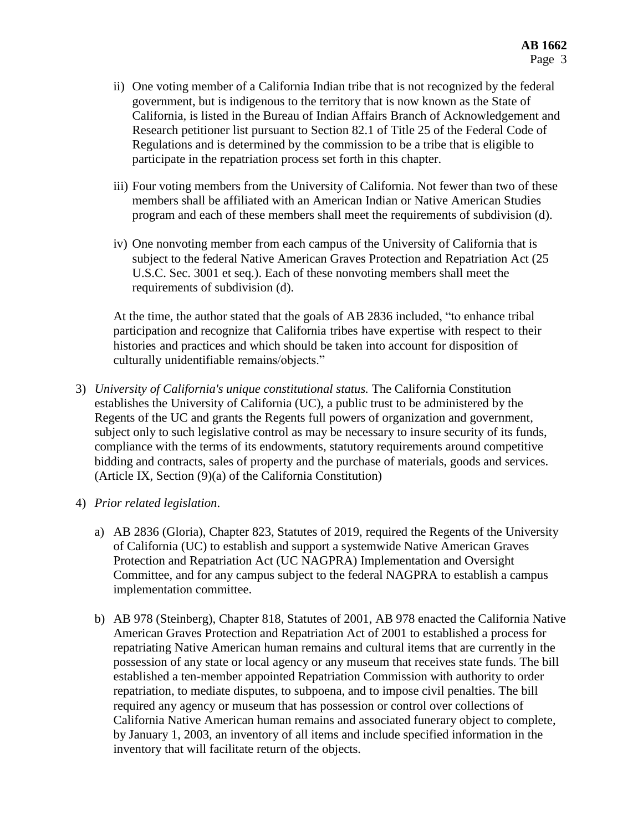- ii) One voting member of a California Indian tribe that is not recognized by the federal government, but is indigenous to the territory that is now known as the State of California, is listed in the Bureau of Indian Affairs Branch of Acknowledgement and Research petitioner list pursuant to Section 82.1 of Title 25 of the Federal Code of Regulations and is determined by the commission to be a tribe that is eligible to participate in the repatriation process set forth in this chapter.
- iii) Four voting members from the University of California. Not fewer than two of these members shall be affiliated with an American Indian or Native American Studies program and each of these members shall meet the requirements of subdivision (d).
- iv) One nonvoting member from each campus of the University of California that is subject to the federal Native American Graves Protection and Repatriation Act (25 U.S.C. Sec. 3001 et seq.). Each of these nonvoting members shall meet the requirements of subdivision (d).

At the time, the author stated that the goals of AB 2836 included, "to enhance tribal participation and recognize that California tribes have expertise with respect to their histories and practices and which should be taken into account for disposition of culturally unidentifiable remains/objects."

- 3) *University of California's unique constitutional status.* The California Constitution establishes the University of California (UC), a public trust to be administered by the Regents of the UC and grants the Regents full powers of organization and government, subject only to such legislative control as may be necessary to insure security of its funds, compliance with the terms of its endowments, statutory requirements around competitive bidding and contracts, sales of property and the purchase of materials, goods and services. (Article IX, Section (9)(a) of the California Constitution)
- 4) *Prior related legislation*.
	- a) AB 2836 (Gloria), Chapter 823, Statutes of 2019, required the Regents of the University of California (UC) to establish and support a systemwide Native American Graves Protection and Repatriation Act (UC NAGPRA) Implementation and Oversight Committee, and for any campus subject to the federal NAGPRA to establish a campus implementation committee.
	- b) AB 978 (Steinberg), Chapter 818, Statutes of 2001, AB 978 enacted the California Native American Graves Protection and Repatriation Act of 2001 to established a process for repatriating Native American human remains and cultural items that are currently in the possession of any state or local agency or any museum that receives state funds. The bill established a ten-member appointed Repatriation Commission with authority to order repatriation, to mediate disputes, to subpoena, and to impose civil penalties. The bill required any agency or museum that has possession or control over collections of California Native American human remains and associated funerary object to complete, by January 1, 2003, an inventory of all items and include specified information in the inventory that will facilitate return of the objects.